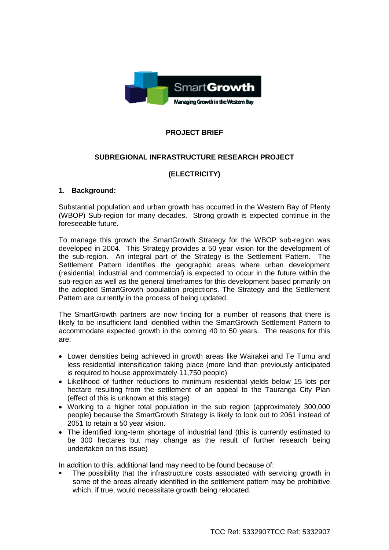

## **PROJECT BRIEF**

#### **SUBREGIONAL INFRASTRUCTURE RESEARCH PROJECT**

## **(ELECTRICITY)**

#### **1. Background:**

Substantial population and urban growth has occurred in the Western Bay of Plenty (WBOP) Sub-region for many decades. Strong growth is expected continue in the foreseeable future.

To manage this growth the SmartGrowth Strategy for the WBOP sub-region was developed in 2004. This Strategy provides a 50 year vision for the development of the sub-region. An integral part of the Strategy is the Settlement Pattern. The Settlement Pattern identifies the geographic areas where urban development (residential, industrial and commercial) is expected to occur in the future within the sub-region as well as the general timeframes for this development based primarily on the adopted SmartGrowth population projections. The Strategy and the Settlement Pattern are currently in the process of being updated.

The SmartGrowth partners are now finding for a number of reasons that there is likely to be insufficient land identified within the SmartGrowth Settlement Pattern to accommodate expected growth in the coming 40 to 50 years. The reasons for this are:

- Lower densities being achieved in growth areas like Wairakei and Te Tumu and less residential intensification taking place (more land than previously anticipated is required to house approximately 11,750 people)
- Likelihood of further reductions to minimum residential yields below 15 lots per hectare resulting from the settlement of an appeal to the Tauranga City Plan (effect of this is unknown at this stage)
- Working to a higher total population in the sub region (approximately 300,000 people) because the SmartGrowth Strategy is likely to look out to 2061 instead of 2051 to retain a 50 year vision.
- The identified long-term shortage of industrial land (this is currently estimated to be 300 hectares but may change as the result of further research being undertaken on this issue)

In addition to this, additional land may need to be found because of:

 The possibility that the infrastructure costs associated with servicing growth in some of the areas already identified in the settlement pattern may be prohibitive which, if true, would necessitate growth being relocated.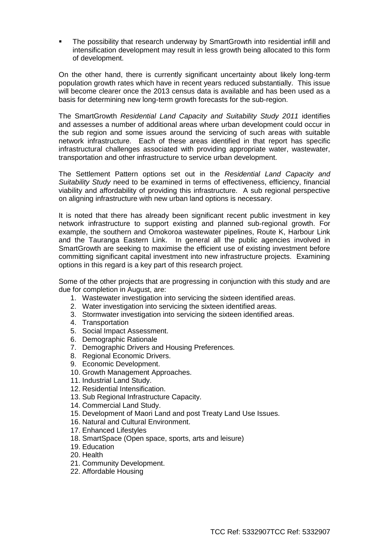The possibility that research underway by SmartGrowth into residential infill and intensification development may result in less growth being allocated to this form of development.

On the other hand, there is currently significant uncertainty about likely long-term population growth rates which have in recent years reduced substantially. This issue will become clearer once the 2013 census data is available and has been used as a basis for determining new long-term growth forecasts for the sub-region.

The SmartGrowth *Residential Land Capacity and Suitability Study 2011* identifies and assesses a number of additional areas where urban development could occur in the sub region and some issues around the servicing of such areas with suitable network infrastructure. Each of these areas identified in that report has specific infrastructural challenges associated with providing appropriate water, wastewater, transportation and other infrastructure to service urban development.

The Settlement Pattern options set out in the *Residential Land Capacity and Suitability Study* need to be examined in terms of effectiveness, efficiency, financial viability and affordability of providing this infrastructure. A sub regional perspective on aligning infrastructure with new urban land options is necessary.

It is noted that there has already been significant recent public investment in key network infrastructure to support existing and planned sub-regional growth. For example, the southern and Omokoroa wastewater pipelines, Route K, Harbour Link and the Tauranga Eastern Link. In general all the public agencies involved in SmartGrowth are seeking to maximise the efficient use of existing investment before committing significant capital investment into new infrastructure projects. Examining options in this regard is a key part of this research project.

Some of the other projects that are progressing in conjunction with this study and are due for completion in August, are:

- 1. Wastewater investigation into servicing the sixteen identified areas.
- 2. Water investigation into servicing the sixteen identified areas.
- 3. Stormwater investigation into servicing the sixteen identified areas.
- 4. Transportation
- 5. Social Impact Assessment.
- 6. Demographic Rationale
- 7. Demographic Drivers and Housing Preferences.
- 8. Regional Economic Drivers.
- 9. Economic Development.
- 10. Growth Management Approaches.
- 11. Industrial Land Study.
- 12. Residential Intensification.
- 13. Sub Regional Infrastructure Capacity.
- 14. Commercial Land Study.
- 15. Development of Maori Land and post Treaty Land Use Issues.
- 16. Natural and Cultural Environment.
- 17. Enhanced Lifestyles
- 18. SmartSpace (Open space, sports, arts and leisure)
- 19. Education
- 20. Health
- 21. Community Development.
- 22. Affordable Housing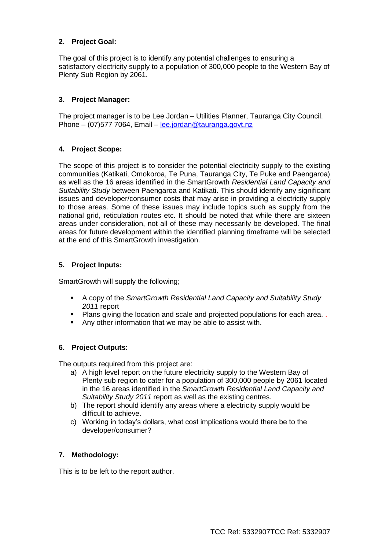### **2. Project Goal:**

The goal of this project is to identify any potential challenges to ensuring a satisfactory electricity supply to a population of 300,000 people to the Western Bay of Plenty Sub Region by 2061.

### **3. Project Manager:**

The project manager is to be Lee Jordan – Utilities Planner, Tauranga City Council. Phone – (07)577 7064, Email – [lee.jordan@tauranga.govt.nz](mailto:lee.jordan@tauranga.govt.nz)

#### **4. Project Scope:**

The scope of this project is to consider the potential electricity supply to the existing communities (Katikati, Omokoroa, Te Puna, Tauranga City, Te Puke and Paengaroa) as well as the 16 areas identified in the SmartGrowth *Residential Land Capacity and Suitability Study* between Paengaroa and Katikati. This should identify any significant issues and developer/consumer costs that may arise in providing a electricity supply to those areas. Some of these issues may include topics such as supply from the national grid, reticulation routes etc. It should be noted that while there are sixteen areas under consideration, not all of these may necessarily be developed. The final areas for future development within the identified planning timeframe will be selected at the end of this SmartGrowth investigation.

#### **5. Project Inputs:**

SmartGrowth will supply the following;

- A copy of the *SmartGrowth Residential Land Capacity and Suitability Study 2011* report
- **Plans giving the location and scale and projected populations for each area.**
- Any other information that we may be able to assist with.

#### **6. Project Outputs:**

The outputs required from this project are:

- a) A high level report on the future electricity supply to the Western Bay of Plenty sub region to cater for a population of 300,000 people by 2061 located in the 16 areas identified in the *SmartGrowth Residential Land Capacity and Suitability Study 2011* report as well as the existing centres.
- b) The report should identify any areas where a electricity supply would be difficult to achieve.
- c) Working in today's dollars, what cost implications would there be to the developer/consumer?

#### **7. Methodology:**

This is to be left to the report author.